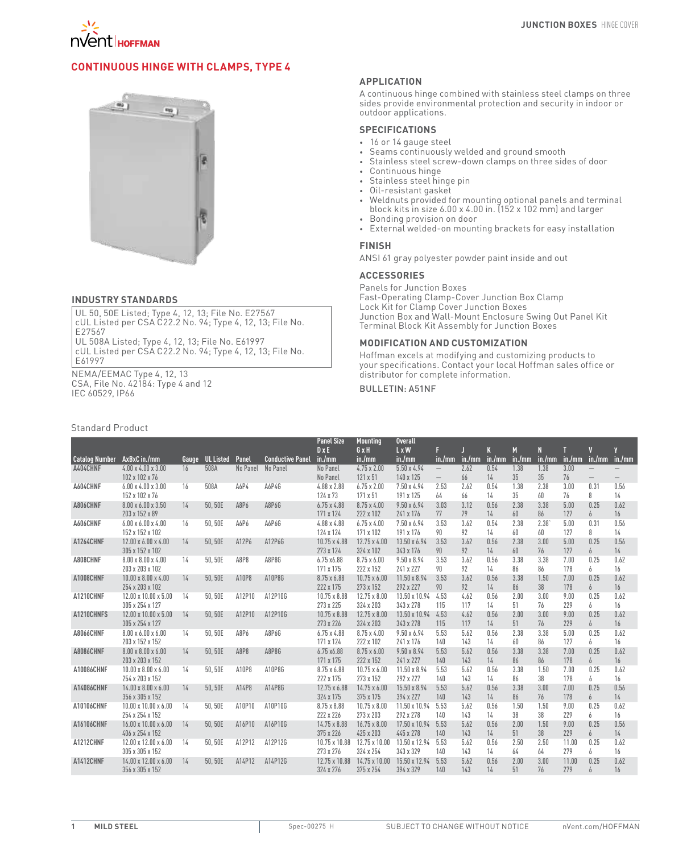

# **Continuous Hinge with Clamps, Type 4**



#### **INDUSTRY STANDARDS**

UL 50, 50E Listed; Type 4, 12, 13; File No. E27567 cUL Listed per CSA C22.2 No. 94; Type 4, 12, 13; File No. E27567 UL 508A Listed; Type 4, 12, 13; File No. E61997

cUL Listed per CSA C22.2 No. 94; Type 4, 12, 13; File No. E61997

NEMA/EEMAC Type 4, 12, 13 CSA, File No. 42184: Type 4 and 12 IEC 60529, IP66

# Standard Product

### **APPLICATION**

A continuous hinge combined with stainless steel clamps on three sides provide environmental protection and security in indoor or outdoor applications.

## **SPECIFICATIONS**

- • 16 or 14 gauge steel
- • Seams continuously welded and ground smooth
- • Stainless steel screw-down clamps on three sides of door
- • Continuous hinge
- • Stainless steel hinge pin
- • Oil-resistant gasket
- • Weldnuts provided for mounting optional panels and terminal block kits in size 6.00 x 4.00 in. (152 x 102 mm) and larger
- • Bonding provision on door
- External welded-on mounting brackets for easy installation

#### **FINISH**

ANSI 61 gray polyester powder paint inside and out

#### **ACCESSORIES**

Panels for Junction Boxes Fast-Operating Clamp-Cover Junction Box Clamp Lock Kit for Clamp Cover Junction Boxes Junction Box and Wall-Mount Enclosure Swing Out Panel Kit Terminal Block Kit Assembly for Junction Boxes

### **MODIFICATION AND CUSTOMIZATION**

Hoffman excels at modifying and customizing products to your specifications. Contact your local Hoffman sales office or distributor for complete information.

## Bulletin: A51NF

|                       |                                                     |       |                  |          |                         | <b>Panel Size</b>                | <b>Mounting</b>                  | <b>Overall</b>                  |                                                      |             |             |             |             |              |                                        |                          |
|-----------------------|-----------------------------------------------------|-------|------------------|----------|-------------------------|----------------------------------|----------------------------------|---------------------------------|------------------------------------------------------|-------------|-------------|-------------|-------------|--------------|----------------------------------------|--------------------------|
| <b>Catalog Number</b> | AxBxC in./mm                                        | Gauge | <b>UL Listed</b> | Panel    | <b>Conductive Panel</b> | $D \times E$<br>in./mm           | GxH<br>in./mm                    | L x W<br>in./mm                 | F<br>in./mm                                          | in./mm      | K<br>in./mm | M<br>in./mm | N<br>in./mm |              | Π<br>$in./mm$ $in./mm$                 | in./mm                   |
| A404CHNF              | $4.00 \times 4.00 \times 3.00$<br>102 x 102 x 76    | 16    | 508A             | No Panel | No Panel                | No Panel<br>No Panel             | $4.75 \times 2.00$<br>121 x 51   | 5.50 x 4.94<br>140 x 125        | $\overline{\phantom{0}}$<br>$\overline{\phantom{0}}$ | 2.62<br>66  | 0.54<br>14  | 1.38<br>35  | 1.38<br>35  | 3.00<br>76   | $\qquad \qquad -$<br>$\qquad \qquad -$ | $\overline{\phantom{m}}$ |
| A604CHNF              | $6.00 \times 4.00 \times 3.00$<br>152 x 102 x 76    | 16    | 508A             | A6P4     | A6P4G                   | 4.88 x 2.88<br>124 x 73          | $6.75 \times 2.00$<br>171 x 51   | 7.50 x 4.94<br>191 x 125        | 2.53<br>64                                           | 2.62<br>66  | 0.54<br>14  | 1.38<br>35  | 2.38<br>60  | 3.00<br>76   | 0.31<br>8                              | 0.56<br>14               |
| A806CHNF              | 8.00 x 6.00 x 3.50<br>203 x 152 x 89                | 14    | 50.50E           | A8P6     | A8P6G                   | $6.75 \times 4.88$<br>171 x 124  | $8.75 \times 4.00$<br>222 x 102  | $9.50 \times 6.94$<br>241 x 176 | 3.03<br>77                                           | 3.12<br>79  | 0.56<br>14  | 2.38<br>60  | 3.38<br>86  | 5.00<br>127  | 0.25<br>6                              | 0.62<br>16               |
| A606CHNF              | $6.00 \times 6.00 \times 4.00$<br>152 x 152 x 102   | 16    | 50.50E           | A6P6     | A6P6G                   | $4.88 \times 4.88$<br>124 x 124  | $6.75 \times 4.00$<br>171 x 102  | 7.50 x 6.94<br>191 x 176        | 3.53<br>90                                           | 3.62<br>92  | 0.54<br>14  | 2.38<br>60  | 2.38<br>60  | 5.00<br>127  | 0.31<br>8                              | 0.56<br>14               |
| <b>A1264CHNF</b>      | $12.00 \times 6.00 \times 4.00$<br>305 x 152 x 102  | 14    | 50.50E           | A12P6    | A12P6G                  | 10.75 x 4.88<br>273 x 124        | $12.75 \times 4.00$<br>324 x 102 | 13.50 x 6.94<br>343 x 176       | 3.53<br>90                                           | 3.62<br>92  | 0.56<br>14  | 2.38<br>60  | 3.00<br>76  | 5.00<br>127  | 0.25<br>6                              | 0.56<br>14               |
| A808CHNF              | $8.00 \times 8.00 \times 4.00$<br>203 x 203 x 102   | 14    | 50, 50E          | A8P8     | A8P8G                   | 6.75 x6.88<br>171 x 175          | $8.75 \times 6.00$<br>222 x 152  | $9.50 \times 8.94$<br>241 x 227 | 3.53<br>90                                           | 3.62<br>92  | 0.56<br>14  | 3.38<br>86  | 3.38<br>86  | 7.00<br>178  | 0.25<br>6                              | 0.62<br>16               |
| A1008CHNF             | $10.00 \times 8.00 \times 4.00$<br>254 x 203 x 102  | 14    | 50.50E           | A10P8    | A10P8G                  | 8.75 x 6.88<br>222 x 175         | $10.75 \times 6.00$<br>273 x 152 | 11.50 x 8.94<br>292 x 227       | 3.53<br>90                                           | 3.62<br>92  | 0.56<br>14  | 3.38<br>86  | 1.50<br>38  | 7.00<br>178  | 0.25<br>6                              | 0.62<br>16               |
| A1210CHNF             | $12.00 \times 10.00 \times 5.00$<br>305 x 254 x 127 | 14    | 50, 50E          | A12P10   | A12P10G                 | 10.75 x 8.88<br>273 x 225        | $12.75 \times 8.00$<br>324 x 203 | 13.50 x 10.94<br>343 x 278      | 4.53<br>115                                          | 4.62<br>117 | 0.56<br>14  | 2.00<br>51  | 3.00<br>76  | 9.00<br>229  | 0.25<br>6                              | 0.62<br>16               |
| A1210CHNFS            | 12.00 x 10.00 x 5.00<br>305 x 254 x 127             | 14    | 50,50E           | A12P10   | A12P10G                 | 10.75 x 8.88<br>273 x 226        | $12.75 \times 8.00$<br>324 x 203 | 13.50 x 10.94<br>343 x 278      | 4.53<br>115                                          | 4.62<br>117 | 0.56<br>14  | 2.00<br>51  | 3.00<br>76  | 9.00<br>229  | 0.25<br>6                              | 0.62<br>16               |
| <b>A8066CHNF</b>      | $8.00 \times 6.00 \times 6.00$<br>203 x 152 x 152   | 14    | 50,50E           | A8P6     | A8P6G                   | $6.75 \times 4.88$<br>171 x 124  | $8.75 \times 4.00$<br>222 x 102  | $9.50 \times 6.94$<br>241 x 176 | 5.53<br>140                                          | 5.62<br>143 | 0.56<br>14  | 2.38<br>60  | 3.38<br>86  | 5.00<br>127  | 0.25<br>6                              | 0.62<br>16               |
| <b>A8086CHNF</b>      | $8.00 \times 8.00 \times 6.00$<br>203 x 203 x 152   | 14    | 50.50E           | A8P8     | A8P8G                   | 6.75 x6.88<br>171 x 175          | $8.75 \times 6.00$<br>222 x 152  | $9.50 \times 8.94$<br>241 x 227 | 5.53<br>140                                          | 5.62<br>143 | 0.56<br>14  | 3.38<br>86  | 3.38<br>86  | 7.00<br>178  | 0.25<br>6                              | 0.62<br>16               |
| A10086CHNF            | $10.00 \times 8.00 \times 6.00$<br>254 x 203 x 152  | 14    | 50.50E           | A10P8    | A10P8G                  | 8.75 x 6.88<br>222 x 175         | $10.75 \times 6.00$<br>273 x 152 | 11.50 x 8.94<br>292 x 227       | 5.53<br>140                                          | 5.62<br>143 | 0.56<br>14  | 3.38<br>86  | 1.50<br>38  | 7.00<br>178  | 0.25<br>6                              | 0.62<br>16               |
| A14086CHNF            | $14.00 \times 8.00 \times 6.00$<br>356 x 305 x 152  | 14    | 50.50E           | A14P8    | A14P8G                  | $12.75 \times 6.88$<br>324 x 175 | $14.75 \times 6.00$<br>375 x 175 | 15.50 x 8.94<br>394 x 227       | 5.53<br>140                                          | 5.62<br>143 | 0.56<br>14  | 3.38<br>86  | 3.00<br>76  | 7.00<br>178  | 0.25<br>6                              | 0.56<br>14               |
| A10106CHNF            | $10.00 \times 10.00 \times 6.00$<br>254 x 254 x 152 | 14    | 50,50E           | A10P10   | A10P10G                 | 8.75 x 8.88<br>222 x 226         | $10.75 \times 8.00$<br>273 x 203 | 11.50 x 10.94<br>292 x 278      | 5.53<br>140                                          | 5.62<br>143 | 0.56<br>14  | 1.50<br>38  | 1.50<br>38  | 9.00<br>229  | 0.25<br>6                              | 0.62<br>16               |
| A16106CHNF            | 16.00 x 10.00 x 6.00<br>406 x 254 x 152             | 14    | 50,50E           | A16P10   | A16P10G                 | 14.75 x 8.88<br>375 x 226        | $16.75 \times 8.00$<br>425 x 203 | 17.50 x 10.94<br>445 x 278      | 5.53<br>140                                          | 5.62<br>143 | 0.56<br>14  | 2.00<br>51  | 1.50<br>38  | 9.00<br>229  | 0.25<br>6                              | 0.56<br>14               |
| A1212CHNF             | 12.00 x 12.00 x 6.00<br>305 x 305 x 152             | 14    | 50.50E           | A12P12   | A12P12G                 | 10.75 x 10.88<br>273 x 276       | 12.75 x 10.00<br>324 x 254       | 13.50 x 12.94<br>343 x 329      | 5.53<br>140                                          | 5.62<br>143 | 0.56<br>14  | 2.50<br>64  | 2.50<br>64  | 11.00<br>279 | 0.25<br>6                              | 0.62<br>16               |
| A1412CHNF             | 14.00 x 12.00 x 6.00<br>356 x 305 x 152             | 14    | 50,50E           | A14P12   | A14P12G                 | 12.75 x 10.88<br>324 x 276       | 14.75 x 10.00<br>375 x 254       | 15.50 x 12.94<br>394 x 329      | 5.53<br>140                                          | 5.62<br>143 | 0.56<br>14  | 2.00<br>51  | 3.00<br>76  | 11.00<br>279 | 0.25<br>$\overline{h}$                 | 0.62<br>16               |